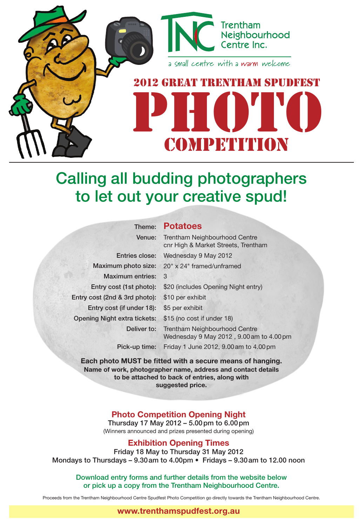

competition

# Calling all budding photographers to let out your creative spud!

## Theme: **Potatoes**

| Venue:                              | <b>Trentham Neighbourhood Centre</b><br>cnr High & Market Streets, Trentham      |
|-------------------------------------|----------------------------------------------------------------------------------|
|                                     | Entries close: Wednesday 9 May 2012                                              |
|                                     | Maximum photo size: 20" x 24" framed/unframed                                    |
| <b>Maximum entries:</b>             | 3                                                                                |
| Entry cost (1st photo):             | \$20 (includes Opening Night entry)                                              |
| Entry cost (2nd & 3rd photo):       | \$10 per exhibit                                                                 |
| Entry cost (if under 18):           | \$5 per exhibit                                                                  |
| <b>Opening Night extra tickets:</b> | \$15 (no cost if under 18)                                                       |
| Deliver to:                         | <b>Trentham Neighbourhood Centre</b><br>Wednesday 9 May 2012, 9.00 am to 4.00 pm |
| Pick-up time:                       | Friday 1 June 2012, 9.00 am to 4.00 pm                                           |

**Each photo MUST be fitted with a secure means of hanging. Name of work, photographer name, address and contact details to be attached to back of entries, along with suggested price.**

### **Photo Competition Opening Night**

Thursday 17 May 2012 – 5.00pm to 6.00pm (Winners announced and prizes presented during opening)

### **Exhibition Opening Times**

Friday 18 May to Thursday 31 May 2012 Mondays to Thursdays – 9.30am to 4.00pm • Fridays – 9.30am to 12.00 noon

Download entry forms and further details from the website below or pick up a copy from the Trentham Neighbourhood Centre.

Proceeds from the Trentham Neighbourhood Centre Spudfest Photo Competition go directly towards the Trentham Neighbourhood Centre.

#### **www.trenthamspudfest.org.au**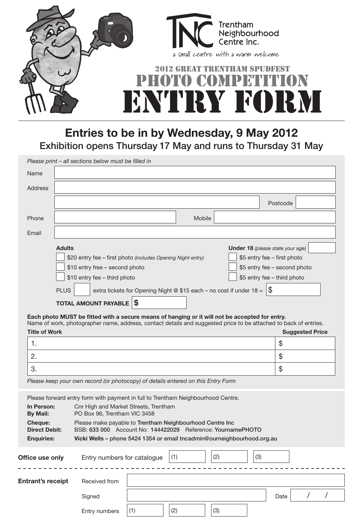

**Entries to be in by Wednesday, 9 May 2012** Exhibition opens Thursday 17 May and runs to Thursday 31 May

|         | Please print - all sections below must be filled in                                        |  |  |  |  |  |  |
|---------|--------------------------------------------------------------------------------------------|--|--|--|--|--|--|
| Name    |                                                                                            |  |  |  |  |  |  |
| Address |                                                                                            |  |  |  |  |  |  |
|         | Postcode                                                                                   |  |  |  |  |  |  |
| Phone   | Mobile                                                                                     |  |  |  |  |  |  |
| Email   |                                                                                            |  |  |  |  |  |  |
|         | <b>Adults</b><br>Under 18 (please state your age)                                          |  |  |  |  |  |  |
|         | \$5 entry fee - first photo<br>\$20 entry fee - first photo (includes Opening Night entry) |  |  |  |  |  |  |
|         | \$10 entry free - second photo<br>\$5 entry fee - second photo                             |  |  |  |  |  |  |
|         | \$5 entry fee - third photo<br>\$10 entry fee - third photo                                |  |  |  |  |  |  |
|         | extra tickets for Opening Night @ \$15 each - no cost if under $18 = 8$<br><b>PLUS</b>     |  |  |  |  |  |  |
|         | <b>TOTAL AMOUNT PAYABLE</b><br>`S                                                          |  |  |  |  |  |  |

**Each photo MUST be fitted with a secure means of hanging or it will not be accepted for entry.** Name of work, photographer name, address, contact details and suggested price to be attached to back of entries.

| - -<br><b>Title of Work</b> | <b>Suggested Price</b> |
|-----------------------------|------------------------|
| . .                         | xD                     |
| $\Omega$<br><u>.</u>        | xD                     |
| ഠ<br>ၪ.                     | w                      |

*Please keep your own record (or photocopy) of details entered on this Entry Form*

|                                 | Please forward entry form with payment in full to Trentham Neighbourhood Centre.                                        |     |     |     |     |      |  |  |
|---------------------------------|-------------------------------------------------------------------------------------------------------------------------|-----|-----|-----|-----|------|--|--|
| In Person:<br>By Mail:          | Cnr High and Market Streets, Trentham<br>PO Box 96, Trentham VIC 3458                                                   |     |     |     |     |      |  |  |
| Cheque:<br><b>Direct Debit:</b> | Please make payable to Trentham Neighbourhood Centre Inc<br>BSB: 633 000 Account No: 144422029 Reference: YournamePHOTO |     |     |     |     |      |  |  |
| <b>Enquiries:</b>               | Vicki Wells – phone 5424 1354 or email tncadmin@ourneighbourhood.org.au                                                 |     |     |     |     |      |  |  |
| Office use only                 | Entry numbers for catalogue                                                                                             |     | (1) | (2) | (3) |      |  |  |
| <b>Entrant's receipt</b>        | Received from                                                                                                           |     |     |     |     |      |  |  |
|                                 | Signed                                                                                                                  |     |     |     |     | Date |  |  |
|                                 | Entry numbers                                                                                                           | (1) | (2) | (3) |     |      |  |  |